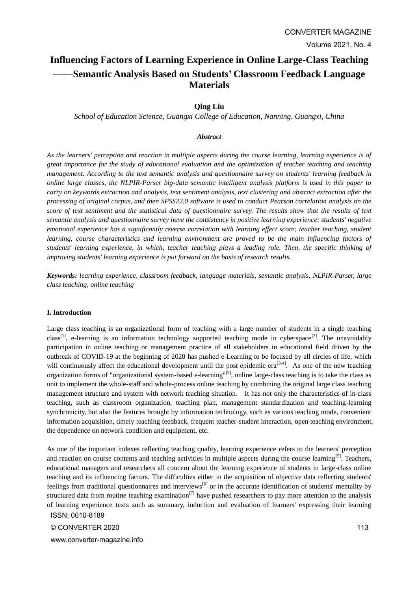# **Influencing Factors of Learning Experience in Online Large-Class Teaching ——Semantic Analysis Based on Students' Classroom Feedback Language Materials**

### **Qing Liu**

*School of Education Science, Guangxi College of Education, Nanning, Guangxi, China*

### *Abstract*

*As the learners' perception and reaction in multiple aspects during the course learning, learning experience is of great importance for the study of educational evaluation and the optimization of teacher teaching and teaching management. According to the text semantic analysis and questionnaire survey on students' learning feedback in online large classes, the NLPIR-Parser big-data semantic intelligent analysis platform is used in this paper to carry on keywords extraction and analysis, text sentiment analysis, text clustering and abstract extraction after the processing of original corpus, and then SPSS22.0 software is used to conduct Pearson correlation analysis on the score of text sentiment and the statistical data of questionnaire survey. The results show that the results of text semantic analysis and questionnaire survey have the consistency in positive learning experience; students' negative emotional experience has a significantly reverse correlation with learning effect score; teacher teaching, student learning, course characteristics and learning environment are proved to be the main influencing factors of students' learning experience, in which, teacher teaching plays a leading role. Then, the specific thinking of improving students' learning experience is put forward on the basis of research results.*

*Keywords: learning experience, classroom feedback, language materials, semantic analysis, NLPIR-Parser, large class teaching, online teaching*

#### **I. Introduction**

Large class teaching is an organizational form of teaching with a large number of students in a single teaching class<sup>[1]</sup>, e-learning is an information technology supported teaching mode in cyberspace<sup>[2]</sup>. The unavoidably participation in online teaching or management practice of all stakeholders in educational field driven by the outbreak of COVID-19 at the beginning of 2020 has pushed e-Learning to be focused by all circles of life, which will continuously affect the educational development until the post epidemic era<sup>[3-4]</sup>. As one of the new teaching organization forms of "organizational system-based e-learning"[3], online large-class teaching is to take the class as unit to implement the whole-staff and whole-process online teaching by combining the original large class teaching management structure and system with network teaching situation. It has not only the characteristics of in-class teaching, such as classroom organization, teaching plan, management standardization and teaching-learning synchronicity, but also the features brought by information technology, such as various teaching mode, convenient information acquisition, timely teaching feedback, frequent teacher-student interaction, open teaching environment, the dependence on network condition and equipment, etc.

ISSN: 0010-8189 As one of the important indexes reflecting teaching quality, learning experience refers to the learners' perception and reaction on course contents and teaching activities in multiple aspects during the course learning<sup>[5]</sup>. Teachers, educational managers and researchers all concern about the learning experience of students in large-class online teaching and its influencing factors. The difficulties either in the acquisition of objective data reflecting students' feelings from traditional questionnaires and interviews<sup>[6]</sup> or in the accurate identification of students' mentality by structured data from routine teaching examination<sup>[7]</sup> have pushed researchers to pay more attention to the analysis of learning experience texts such as summary, induction and evaluation of learners' expressing their learning

© CONVERTER 2020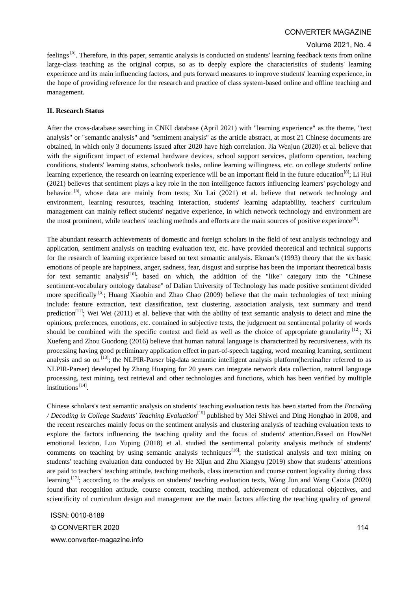### Volume 2021, No. 4

feelings<sup>[5]</sup>. Therefore, in this paper, semantic analysis is conducted on students' learning feedback texts from online large-class teaching as the original corpus, so as to deeply explore the characteristics of students' learning experience and its main influencing factors, and puts forward measures to improve students' learning experience, in the hope of providing reference for the research and practice of class system-based online and offline teaching and management.

### **II. Research Status**

After the cross-database searching in CNKI database (April 2021) with "learning experience" as the theme, "text analysis" or "semantic analysis" and "sentiment analysis" as the article abstract, at most 21 Chinese documents are obtained, in which only 3 documents issued after 2020 have high correlation. Jia Wenjun (2020) et al. believe that with the significant impact of external hardware devices, school support services, platform operation, teaching conditions, students' learning status, schoolwork tasks, online learning willingness, etc. on college students' online learning experience, the research on learning experience will be an important field in the future education<sup>[8]</sup>; Li Hui (2021) believes that sentiment plays a key role in the non intelligence factors influencing learners' psychology and behavior  $\begin{bmatrix} 5 \end{bmatrix}$ , whose data are mainly from texts; Xu Lai (2021) et al. believe that network technology and environment, learning resources, teaching interaction, students' learning adaptability, teachers' curriculum management can mainly reflect students' negative experience, in which network technology and environment are the most prominent, while teachers' teaching methods and efforts are the main sources of positive experience<sup>[9]</sup>.

The abundant research achievements of domestic and foreign scholars in the field of text analysis technology and application, sentiment analysis on teaching evaluation text, etc. have provided theoretical and technical supports for the research of learning experience based on text semantic analysis. Ekman's (1993) theory that the six basic emotions of people are happiness, anger, sadness, fear, disgust and surprise has been the important theoretical basis for text semantic analysis<sup>[10]</sup>; based on which, the addition of the "like" category into the "Chinese sentiment-vocabulary ontology database" of Dalian University of Technology has made positive sentiment divided more specifically <sup>[5]</sup>; Huang Xiaobin and Zhao Chao (2009) believe that the main technologies of text mining include: feature extraction, text classification, text clustering, association analysis, text summary and trend prediction<sup>[11]</sup>; Wei Wei (2011) et al. believe that with the ability of text semantic analysis to detect and mine the opinions, preferences, emotions, etc. contained in subjective texts, the judgement on sentimental polarity of words should be combined with the specific context and field as well as the choice of appropriate granularity  $[12]$ ; Xi Xuefeng and Zhou Guodong (2016) believe that human natural language is characterized by recursiveness, with its processing having good preliminary application effect in part-of-speech tagging, word meaning learning, sentiment analysis and so on  $^{[13]}$ ; the NLPIR-Parser big-data semantic intelligent analysis platform(hereinafter referred to as NLPIR-Parser) developed by Zhang Huaping for 20 years can integrate network data collection, natural language processing, text mining, text retrieval and other technologies and functions, which has been verified by multiple institutions<sup>[14]</sup>.

Chinese scholars's text semantic analysis on students' teaching evaluation texts has been started from the *Encoding / Decoding in College Students' Teaching Evaluation*[15] published by Mei Shiwei and Ding Honghao in 2008, and the recent researches mainly focus on the sentiment analysis and clustering analysis of teaching evaluation texts to explore the factors influencing the teaching quality and the focus of students' attention.Based on HowNet emotional lexicon, Luo Yuping (2018) et al. studied the sentimental polarity analysis methods of students' comments on teaching by using semantic analysis techniques<sup>[16]</sup>; the statistical analysis and text mining on students' teaching evaluation data conducted by He Xijun and Zhu Xiangyu (2019) show that students' attentions are paid to teachers' teaching attitude, teaching methods, class interaction and course content logicality during class learning  $[17]$ ; according to the analysis on students' teaching evaluation texts, Wang Jun and Wang Caixia (2020) found that recognition attitude, course content, teaching method, achievement of educational objectives, and scientificity of curriculum design and management are the main factors affecting the teaching quality of general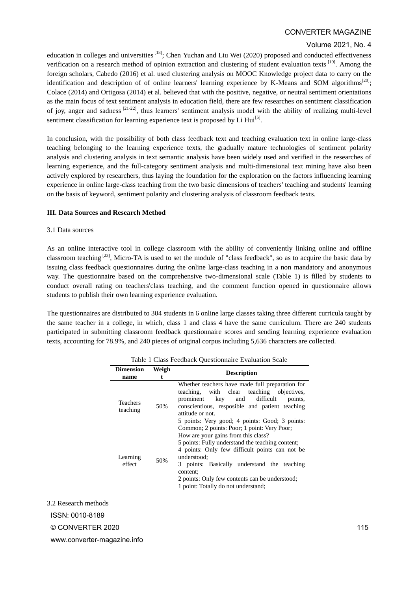### Volume 2021, No. 4

education in colleges and universities<sup>[18]</sup>; Chen Yuchan and Liu Wei (2020) proposed and conducted effectiveness verification on a research method of opinion extraction and clustering of student evaluation texts [19]. Among the foreign scholars, Cabedo (2016) et al. used clustering analysis on MOOC Knowledge project data to carry on the identification and description of of online learners' learning experience by K-Means and SOM algorithms<sup>[20]</sup>; Colace (2014) and Ortigosa (2014) et al. believed that with the positive, negative, or neutral sentiment orientations as the main focus of text sentiment analysis in education field, there are few researches on sentiment classification of joy, anger and sadness  $[21-22]$ , thus learners' sentiment analysis model with the ability of realizing multi-level sentiment classification for learning experience text is proposed by Li  $\text{Hui}^{[5]}$ .

In conclusion, with the possibility of both class feedback text and teaching evaluation text in online large-class teaching belonging to the learning experience texts, the gradually mature technologies of sentiment polarity analysis and clustering analysis in text semantic analysis have been widely used and verified in the researches of learning experience, and the full-category sentiment analysis and multi-dimensional text mining have also been actively explored by researchers, thus laying the foundation for the exploration on the factors influencing learning experience in online large-class teaching from the two basic dimensions of teachers' teaching and students' learning on the basis of keyword, sentiment polarity and clustering analysis of classroom feedback texts.

### **III. Data Sources and Research Method**

#### 3.1 Data sources

As an online interactive tool in college classroom with the ability of conveniently linking online and offline classroom teaching  $^{[23]}$ , Micro-TA is used to set the module of "class feedback", so as to acquire the basic data by issuing class feedback questionnaires during the online large-class teaching in a non mandatory and anonymous way. The questionnaire based on the comprehensive two-dimensional scale (Table 1) is filled by students to conduct overall rating on teachers'class teaching, and the comment function opened in questionnaire allows students to publish their own learning experience evaluation.

The questionnaires are distributed to 304 students in 6 online large classes taking three different curricula taught by the same teacher in a college, in which, class 1 and class 4 have the same curriculum. There are 240 students participated in submitting classroom feedback questionnaire scores and sending learning experience evaluation texts, accounting for 78.9%, and 240 pieces of original corpus including 5,636 characters are collected.

| <b>Dimension</b><br>name    | Weigh | <b>Description</b>                                                                                                                                                                                                                                                                                                                                          |
|-----------------------------|-------|-------------------------------------------------------------------------------------------------------------------------------------------------------------------------------------------------------------------------------------------------------------------------------------------------------------------------------------------------------------|
| <b>Teachers</b><br>teaching | 50%   | Whether teachers have made full preparation for<br>teaching, with clear teaching objectives,<br>prominent key and difficult<br>points.<br>conscientious, resposible and patient teaching<br>attitude or not.<br>5 points: Very good; 4 points: Good; 3 points:                                                                                              |
| Learning<br>effect          | 50%   | Common; 2 points: Poor; 1 point: Very Poor;<br>How are your gains from this class?<br>5 points: Fully understand the teaching content;<br>4 points: Only few difficult points can not be<br>understood:<br>3 points: Basically understand the teaching<br>content:<br>2 points: Only few contents can be understood;<br>1 point: Totally do not understand; |

Table 1 Class Feedback Questionnaire Evaluation Scale

3.2 Research methods

ISSN: 0010-8189

© CONVERTER 2020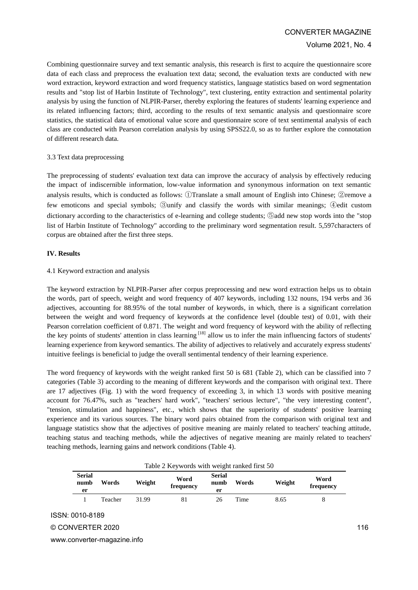#### Volume 2021, No. 4

Combining questionnaire survey and text semantic analysis, this research is first to acquire the questionnaire score data of each class and preprocess the evaluation text data; second, the evaluation texts are conducted with new word extraction, keyword extraction and word frequency statistics, language statistics based on word segmentation results and "stop list of Harbin Institute of Technology", text clustering, entity extraction and sentimental polarity analysis by using the function of NLPIR-Parser, thereby exploring the features of students' learning experience and its related influencing factors; third, according to the results of text semantic analysis and questionnaire score statistics, the statistical data of emotional value score and questionnaire score of text sentimental analysis of each class are conducted with Pearson correlation analysis by using SPSS22.0, so as to further explore the connotation of different research data.

#### 3.3 Text data preprocessing

The preprocessing of students' evaluation text data can improve the accuracy of analysis by effectively reducing the impact of indiscernible information, low-value information and synonymous information on text semantic analysis results, which is conducted as follows: ①Translate a small amount of English into Chinese; ②remove a few emoticons and special symbols; ③unify and classify the words with similar meanings; ④edit custom dictionary according to the characteristics of e-learning and college students; ⑤add new stop words into the "stop list of Harbin Institute of Technology" according to the preliminary word segmentation result. 5,597characters of corpus are obtained after the first three steps.

### **IV. Results**

#### 4.1 Keyword extraction and analysis

The keyword extraction by NLPIR-Parser after corpus preprocessing and new word extraction helps us to obtain the words, part of speech, weight and word frequency of 407 keywords, including 132 nouns, 194 verbs and 36 adjectives, accounting for 88.95% of the total number of keywords, in which, there is a significant correlation between the weight and word frequency of keywords at the confidence level (double test) of 0.01, with their Pearson correlation coefficient of 0.871. The weight and word frequency of keyword with the ability of reflecting the key points of students' attention in class learning  $[18]$  allow us to infer the main influencing factors of students' learning experience from keyword semantics. The ability of adjectives to relatively and accurately express students' intuitive feelings is beneficial to judge the overall sentimental tendency of their learning experience.

The word frequency of keywords with the weight ranked first 50 is 681 (Table 2), which can be classified into 7 categories (Table 3) according to the meaning of different keywords and the comparison with original text. There are 17 adjectives (Fig. 1) with the word frequency of exceeding 3, in which 13 words with positive meaning account for 76.47%, such as "teachers' hard work", "teachers' serious lecture", "the very interesting content", "tension, stimulation and happiness", etc., which shows that the superiority of students' positive learning experience and its various sources. The binary word pairs obtained from the comparison with original text and language statistics show that the adjectives of positive meaning are mainly related to teachers' teaching attitude, teaching status and teaching methods, while the adjectives of negative meaning are mainly related to teachers' teaching methods, learning gains and network conditions (Table 4).

| Table 2 Keywords with weight ranked first 50 |         |        |                   |                             |       |        |                   |
|----------------------------------------------|---------|--------|-------------------|-----------------------------|-------|--------|-------------------|
| <b>Serial</b><br>numb<br>er                  | Words   | Weight | Word<br>frequency | <b>Serial</b><br>numb<br>er | Words | Weight | Word<br>frequency |
|                                              | Teacher | 31.99  | 81                | 26                          | Time  | 8.65   | 8                 |
| ISSN: 0010-8189<br>© CONVERTER 2020          |         |        |                   |                             |       |        |                   |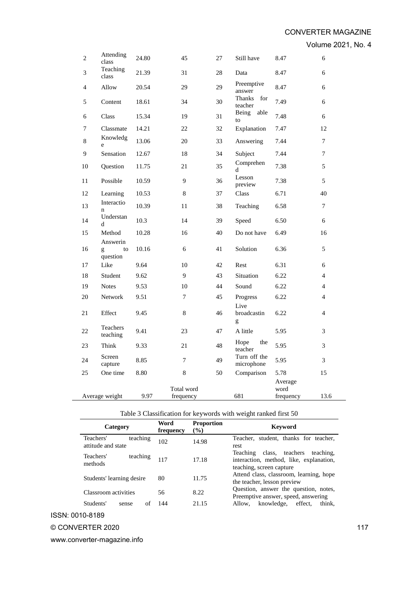Volume 2021, No. 4

| 2  | Attending<br>class   | 24.80 | 45                      | 27 | Still have                 | 8.47                         | 6              |
|----|----------------------|-------|-------------------------|----|----------------------------|------------------------------|----------------|
| 3  | Teaching<br>class    | 21.39 | 31                      | 28 | Data                       | 8.47                         | 6              |
| 4  | Allow                | 20.54 | 29                      | 29 | Preemptive<br>answer       | 8.47                         | 6              |
| 5  | Content              | 18.61 | 34                      | 30 | Thanks<br>for<br>teacher   | 7.49                         | 6              |
| 6  | Class                | 15.34 | 19                      | 31 | Being<br>able<br>to        | 7.48                         | 6              |
| 7  | Classmate            | 14.21 | 22                      | 32 | Explanation                | 7.47                         | 12             |
| 8  | Knowledg<br>e        | 13.06 | 20                      | 33 | Answering                  | 7.44                         | 7              |
| 9  | Sensation            | 12.67 | 18                      | 34 | Subject                    | 7.44                         | 7              |
| 10 | Question             | 11.75 | 21                      | 35 | Comprehen<br>d             | 7.38                         | 5              |
| 11 | Possible             | 10.59 | 9                       | 36 | Lesson<br>preview          | 7.38                         | 5              |
| 12 | Learning             | 10.53 | 8                       | 37 | Class                      | 6.71                         | 40             |
| 13 | Interactio<br>n      | 10.39 | 11                      | 38 | Teaching                   | 6.58                         | 7              |
| 14 | Understan<br>d       | 10.3  | 14                      | 39 | Speed                      | 6.50                         | 6              |
| 15 | Method<br>Answerin   | 10.28 | 16                      | 40 | Do not have                | 6.49                         | 16             |
| 16 | to<br>g<br>question  | 10.16 | 6                       | 41 | Solution                   | 6.36                         | 5              |
| 17 | Like                 | 9.64  | 10                      | 42 | Rest                       | 6.31                         | 6              |
| 18 | Student              | 9.62  | 9                       | 43 | Situation                  | 6.22                         | $\overline{4}$ |
| 19 | <b>Notes</b>         | 9.53  | 10                      | 44 | Sound                      | 6.22                         | $\overline{4}$ |
| 20 | Network              | 9.51  | 7                       | 45 | Progress                   | 6.22                         | 4              |
| 21 | Effect               | 9.45  | 8                       | 46 | Live<br>broadcastin<br>g   | 6.22                         | $\overline{4}$ |
| 22 | Teachers<br>teaching | 9.41  | 23                      | 47 | A little                   | 5.95                         | 3              |
| 23 | Think                | 9.33  | 21                      | 48 | the<br>Hope<br>teacher     | 5.95                         | 3              |
| 24 | Screen<br>capture    | 8.85  | 7                       | 49 | Turn off the<br>microphone | 5.95                         | 3              |
| 25 | One time             | 8.80  | 8                       | 50 | Comparison                 | 5.78                         | 15             |
|    | Average weight       | 9.97  | Total word<br>frequency |    | 681                        | Average<br>word<br>frequency | 13.6           |

# Table 3 Classification for keywords with weight ranked first 50

| Category                                    | Word<br>frequency | <b>Proportion</b><br>$(\%)$ | Keyword                                                                                                         |
|---------------------------------------------|-------------------|-----------------------------|-----------------------------------------------------------------------------------------------------------------|
| Teachers'<br>teaching<br>attitude and state | 102               | 14.98                       | Teacher, student, thanks for teacher,<br>rest                                                                   |
| Teachers'<br>teaching<br>methods            | 117               | 17.18                       | class, teachers<br>Teaching<br>teaching.<br>interaction, method, like, explanation,<br>teaching, screen capture |
| Students' learning desire                   | 80                | 11.75                       | Attend class, classroom, learning, hope<br>the teacher, lesson preview                                          |
| Classroom activities                        | 56                | 8.22                        | Question, answer the question, notes,<br>Preemptive answer, speed, answering                                    |
| Students'<br>of<br>sense                    | 144               | 21.15                       | knowledge,<br>effect.<br>think.<br>Allow,                                                                       |

ISSN: 0010-8189

# © CONVERTER 2020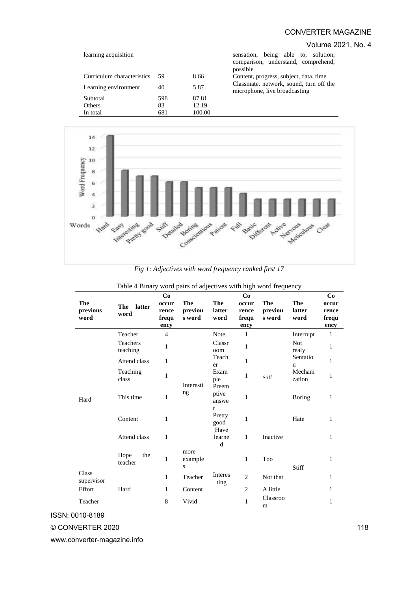### Volume 2021, No. 4

| learning acquisition       |      |        | sensation, being able to, solution,<br>comparison, understand, comprehend,<br>possible |
|----------------------------|------|--------|----------------------------------------------------------------------------------------|
| Curriculum characteristics | - 59 | 8.66   | Content, progress, subject, data, time                                                 |
| Learning environment       | 40   | 5.87   | Classmate, network, sound, turn off the<br>microphone, live broadcasting               |
| Subtotal                   | 598  | 87.81  |                                                                                        |
| <b>Others</b>              | 83   | 12.19  |                                                                                        |
| In total                   | 681  | 100.00 |                                                                                        |



*Fig 1: Adjectives with word frequency ranked first 17*

| The<br>previous<br>word | The<br>latter<br>word  | Co<br>occur<br>rence<br>frequ<br>ency | The<br>previou<br>s word     | The<br>latter<br>word                  | Co<br>occur<br>rence<br>frequ<br>ency | The<br>previou<br>s word | The<br>latter<br>word | Co<br>occur<br>rence<br>frequ<br>ency |
|-------------------------|------------------------|---------------------------------------|------------------------------|----------------------------------------|---------------------------------------|--------------------------|-----------------------|---------------------------------------|
|                         | Teacher                | $\overline{4}$                        |                              | Note                                   | $\mathbf{1}$                          |                          | Interrupt             | $\mathbf{1}$                          |
|                         | Teachers<br>teaching   | 1                                     |                              | Classr<br>oom                          | $\mathbf{1}$                          |                          | <b>Not</b><br>realy   | 1                                     |
|                         | Attend class           | 1                                     |                              | Teach<br>er                            | $\mathbf{1}$                          |                          | Sentatio<br>n         | $\mathbf{1}$                          |
|                         | Teaching<br>class      | $\mathbf{1}$                          | Interesti                    | Exam<br>ple<br>Preem                   | 1                                     | Stiff                    | Mechani<br>zation     | 1                                     |
| Hard                    | This time              | 1                                     | ng                           | ptive<br>answe                         | 1                                     |                          | <b>Boring</b>         | 1                                     |
|                         | Content                | $\mathbf{1}$                          |                              | $\mathbf{r}$<br>Pretty<br>good<br>Have | 1                                     |                          | Hate                  | 1                                     |
|                         | Attend class           | 1                                     |                              | learne<br>d                            | $\mathbf{1}$                          | Inactive                 |                       | 1                                     |
|                         | Hope<br>the<br>teacher | $\mathbf{1}$                          | more<br>example<br>${\bf S}$ |                                        | 1                                     | Too                      | Stiff                 | 1                                     |
| Class<br>supervisor     |                        | 1                                     | Teacher                      | Interes<br>ting                        | 2                                     | Not that                 |                       | 1                                     |
| Effort                  | Hard                   | $\mathbf{1}$                          | Content                      |                                        | $\overline{2}$                        | A little                 |                       | 1                                     |
| Teacher                 |                        | 8                                     | Vivid                        |                                        | 1                                     | Classroo<br>m            |                       | 1                                     |

|  |  | Table 4 Binary word pairs of adjectives with high word frequency |  |  |  |
|--|--|------------------------------------------------------------------|--|--|--|
|  |  |                                                                  |  |  |  |

ISSN: 0010-8189

## © CONVERTER 2020

www.converter-magazine.info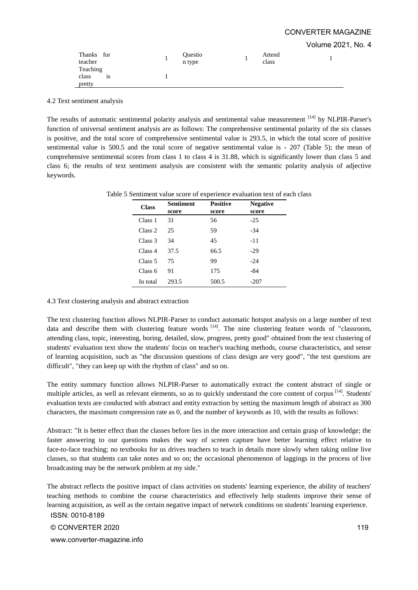Volume 2021, No. 4

| Thanks for<br>teacher | Questio<br>n type | Attend<br>class |  |
|-----------------------|-------------------|-----------------|--|
| Teaching              |                   |                 |  |
| class<br>1S           |                   |                 |  |
| pretty                |                   |                 |  |

4.2 Text sentiment analysis

The results of automatic sentimental polarity analysis and sentimental value measurement [14] by NLPIR-Parser's function of universal sentiment analysis are as follows: The comprehensive sentimental polarity of the six classes is positive, and the total score of comprehensive sentimental value is 293.5, in which the total score of positive sentimental value is 500.5 and the total score of negative sentimental value is - 207 (Table 5); the mean of comprehensive sentimental scores from class 1 to class 4 is 31.88, which is significantly lower than class 5 and class 6; the results of text sentiment analysis are consistent with the semantic polarity analysis of adjective keywords.

| <b>Class</b> | <b>Sentiment</b><br>score | <b>Positive</b><br>score | <b>Negative</b><br>score |
|--------------|---------------------------|--------------------------|--------------------------|
| Class 1      | 31                        | 56                       | $-2.5$                   |
| Class 2      | 25                        | 59                       | $-34$                    |
| Class 3      | 34                        | 45                       | $-11$                    |
| Class 4      | 37.5                      | 66.5                     | $-29$                    |
| Class 5      | 75                        | 99                       | $-24$                    |
| Class 6      | 91                        | 175                      | -84                      |
| In total     | 293.5                     | 500.5                    | $-207$                   |

Table 5 Sentiment value score of experience evaluation text of each class

#### 4.3 Text clustering analysis and abstract extraction

The text clustering function allows NLPIR-Parser to conduct automatic hotspot analysis on a large number of text data and describe them with clustering feature words  $[14]$ . The nine clustering feature words of "classroom, attending class, topic, interesting, boring, detailed, slow, progress, pretty good" obtained from the text clustering of students' evaluation text show the students' focus on teacher's teaching methods, course characteristics, and sense of learning acquisition, such as "the discussion questions of class design are very good", "the test questions are difficult", "they can keep up with the rhythm of class" and so on.

The entity summary function allows NLPIR-Parser to automatically extract the content abstract of single or multiple articles, as well as relevant elements, so as to quickly understand the core content of corpus [14]. Students' evaluation texts are conducted with abstract and entity extraction by setting the maximum length of abstract as 300 characters, the maximum compression rate as 0, and the number of keywords as 10, with the results as follows:

Abstract: "It is better effect than the classes before lies in the more interaction and certain grasp of knowledge; the faster answering to our questions makes the way of screen capture have better learning effect relative to face-to-face teaching; no textbooks for us drives teachers to teach in details more slowly when taking online live classes, so that students can take notes and so on; the occasional phenomenon of laggings in the process of live broadcasting may be the network problem at my side."

The abstract reflects the positive impact of class activities on students' learning experience, the ability of teachers' teaching methods to combine the course characteristics and effectively help students improve their sense of learning acquisition, as well as the certain negative impact of network conditions on students' learning experience.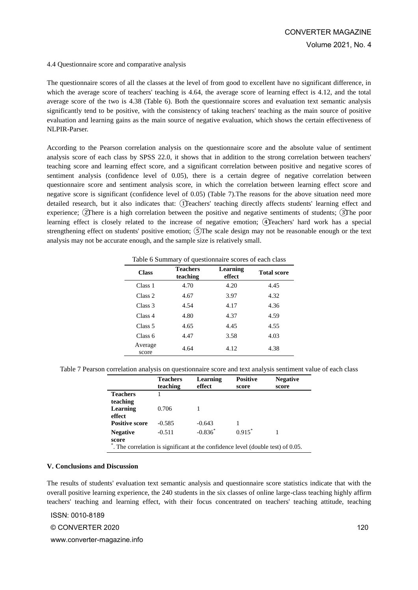#### 4.4 Questionnaire score and comparative analysis

The questionnaire scores of all the classes at the level of from good to excellent have no significant difference, in which the average score of teachers' teaching is 4.64, the average score of learning effect is 4.12, and the total average score of the two is 4.38 (Table 6). Both the questionnaire scores and evaluation text semantic analysis significantly tend to be positive, with the consistency of taking teachers' teaching as the main source of positive evaluation and learning gains as the main source of negative evaluation, which shows the certain effectiveness of NLPIR-Parser.

According to the Pearson correlation analysis on the questionnaire score and the absolute value of sentiment analysis score of each class by SPSS 22.0, it shows that in addition to the strong correlation between teachers' teaching score and learning effect score, and a significant correlation between positive and negative scores of sentiment analysis (confidence level of 0.05), there is a certain degree of negative correlation between questionnaire score and sentiment analysis score, in which the correlation between learning effect score and negative score is significant (confidence level of 0.05) (Table 7).The reasons for the above situation need more detailed research, but it also indicates that: ①Teachers' teaching directly affects students' learning effect and experience; ②There is a high correlation between the positive and negative sentiments of students; ③The poor learning effect is closely related to the increase of negative emotion; ④Teachers' hard work has a special strengthening effect on students' positive emotion; **(5)**The scale design may not be reasonable enough or the text analysis may not be accurate enough, and the sample size is relatively small.

Table 6 Summary of questionnaire scores of each class

| <b>Class</b>       | <b>Teachers</b><br>teaching | Learning<br>effect | <b>Total score</b> |
|--------------------|-----------------------------|--------------------|--------------------|
| Class 1            | 4.70                        | 4.20               | 4.45               |
| Class 2            | 4.67                        | 3.97               | 4.32               |
| Class <sub>3</sub> | 4.54                        | 4.17               | 4.36               |
| Class 4            | 4.80                        | 4.37               | 4.59               |
| Class 5            | 4.65                        | 4.45               | 4.55               |
| Class 6            | 4.47                        | 3.58               | 4.03               |
| Average<br>score   | 4.64                        | 4.12               | 4.38               |

Table 7 Pearson correlation analysis on questionnaire score and text analysis sentiment value of each class

|                                                                                 | <b>Teachers</b> | Learning   | <b>Positive</b>      | <b>Negative</b> |
|---------------------------------------------------------------------------------|-----------------|------------|----------------------|-----------------|
|                                                                                 | teaching        | effect     | score                | score           |
| <b>Teachers</b>                                                                 |                 |            |                      |                 |
| teaching                                                                        |                 |            |                      |                 |
| Learning                                                                        | 0.706           |            |                      |                 |
| effect                                                                          |                 |            |                      |                 |
| <b>Positive score</b>                                                           | $-0.585$        | $-0.643$   |                      |                 |
| <b>Negative</b>                                                                 | $-0.511$        | $-0.836^*$ | $0.915$ <sup>*</sup> |                 |
| score                                                                           |                 |            |                      |                 |
| . The correlation is significant at the confidence level (double test) of 0.05. |                 |            |                      |                 |

#### **V. Conclusions and Discussion**

The results of students' evaluation text semantic analysis and questionnaire score statistics indicate that with the overall positive learning experience, the 240 students in the six classes of online large-class teaching highly affirm teachers' teaching and learning effect, with their focus concentrated on teachers' teaching attitude, teaching

ISSN: 0010-8189

#### © CONVERTER 2020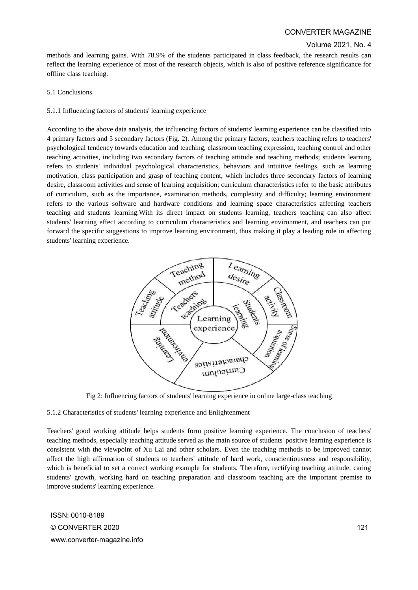### Volume 2021, No. 4

methods and learning gains. With 78.9% of the students participated in class feedback, the research results can reflect the learning experience of most of the research objects, which is also of positive reference significance for offline class teaching.

### 5.1 Conclusions

### 5.1.1 Influencing factors of students' learning experience

According to the above data analysis, the influencing factors of students' learning experience can be classified into 4 primary factors and 5 secondary factors (Fig. 2). Among the primary factors, teachers teaching refers to teachers' psychological tendency towards education and teaching, classroom teaching expression, teaching control and other teaching activities, including two secondary factors of teaching attitude and teaching methods; students learning refers to students' individual psychological characteristics, behaviors and intuitive feelings, such as learning motivation, class participation and grasp of teaching content, which includes three secondary factors of learning desire, classroom activities and sense of learning acquisition; curriculum characteristics refer to the basic attributes of curriculum, such as the importance, examination methods, complexity and difficulty; learning environment refers to the various software and hardware conditions and learning space characteristics affecting teachers teaching and students learning.With its direct impact on students learning, teachers teaching can also affect students' learning effect according to curriculum characteristics and learning environment, and teachers can put forward the specific suggestions to improve learning environment, thus making it play a leading role in affecting students' learning experience.



Fig 2: Influencing factors of students' learning experience in online large-class teaching

### 5.1.2 Characteristics of students' learning experience and Enlightenment

Teachers' good working attitude helps students form positive learning experience. The conclusion of teachers' teaching methods, especially teaching attitude served as the main source of students' positive learning experience is consistent with the viewpoint of Xu Lai and other scholars. Even the teaching methods to be improved cannot affect the high affirmation of students to teachers' attitude of hard work, conscientiousness and responsibility, which is beneficial to set a correct working example for students. Therefore, rectifying teaching attitude, caring students' growth, working hard on teaching preparation and classroom teaching are the important premise to improve students' learning experience.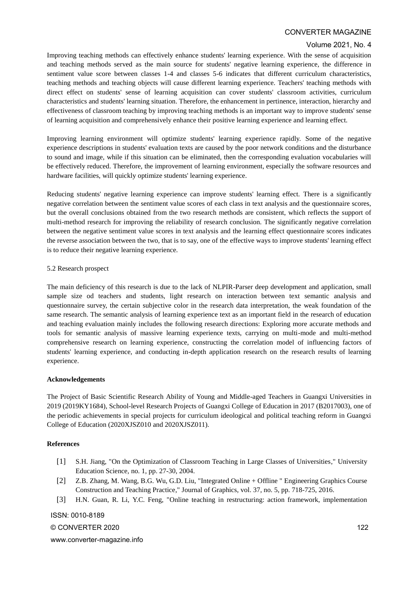### Volume 2021, No. 4

Improving teaching methods can effectively enhance students' learning experience. With the sense of acquisition and teaching methods served as the main source for students' negative learning experience, the difference in sentiment value score between classes 1-4 and classes 5-6 indicates that different curriculum characteristics, teaching methods and teaching objects will cause different learning experience. Teachers' teaching methods with direct effect on students' sense of learning acquisition can cover students' classroom activities, curriculum characteristics and students' learning situation. Therefore, the enhancement in pertinence, interaction, hierarchy and effectiveness of classroom teaching by improving teaching methods is an important way to improve students' sense of learning acquisition and comprehensively enhance their positive learning experience and learning effect.

Improving learning environment will optimize students' learning experience rapidly. Some of the negative experience descriptions in students' evaluation texts are caused by the poor network conditions and the disturbance to sound and image, while if this situation can be eliminated, then the corresponding evaluation vocabularies will be effectively reduced. Therefore, the improvement of learning environment, especially the software resources and hardware facilities, will quickly optimize students' learning experience.

Reducing students' negative learning experience can improve students' learning effect. There is a significantly negative correlation between the sentiment value scores of each class in text analysis and the questionnaire scores, but the overall conclusions obtained from the two research methods are consistent, which reflects the support of multi-method research for improving the reliability of research conclusion. The significantly negative correlation between the negative sentiment value scores in text analysis and the learning effect questionnaire scores indicates the reverse association between the two, that is to say, one of the effective ways to improve students' learning effect is to reduce their negative learning experience.

#### 5.2 Research prospect

The main deficiency of this research is due to the lack of NLPIR-Parser deep development and application, small sample size od teachers and students, light research on interaction between text semantic analysis and questionnaire survey, the certain subjective color in the research data interpretation, the weak foundation of the same research. The semantic analysis of learning experience text as an important field in the research of education and teaching evaluation mainly includes the following research directions: Exploring more accurate methods and tools for semantic analysis of massive learning experience texts, carrying on multi-mode and multi-method comprehensive research on learning experience, constructing the correlation model of influencing factors of students' learning experience, and conducting in-depth application research on the research results of learning experience.

### **Acknowledgements**

The Project of Basic Scientific Research Ability of Young and Middle-aged Teachers in Guangxi Universities in 2019 (2019KY1684), School-level Research Projects of Guangxi College of Education in 2017 (B2017003), one of the periodic achievements in special projects for curriculum ideological and political teaching reform in Guangxi College of Education (2020XJSZ010 and 2020XJSZ011).

### **References**

- [1] S.H. Jiang, "On the Optimization of Classroom Teaching in Large Classes of Universities," University Education Science, no. 1, pp. 27-30, 2004.
- [2] Z.B. Zhang, M. Wang, B.G. Wu, G.D. Liu, "Integrated Online + Offline " Engineering Graphics Course Construction and Teaching Practice," Journal of Graphics, vol. 37, no. 5, pp. 718-725, 2016.
- [3] H.N. Guan, R. Li, Y.C. Feng, "Online teaching in restructuring: action framework, implementation